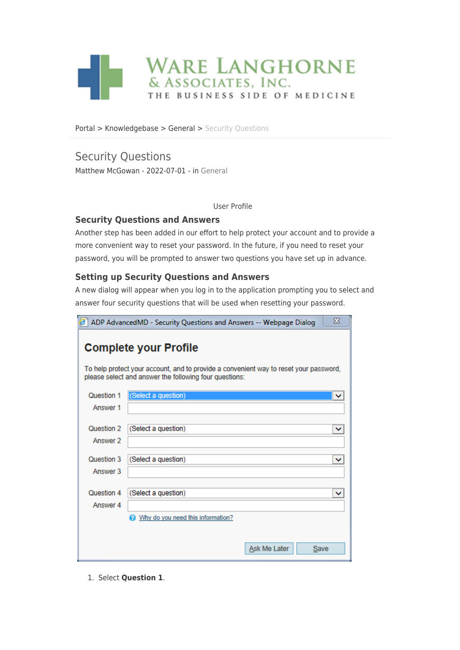

[Portal](https://wla.deskpro.com/) > [Knowledgebase](https://wla.deskpro.com/kb) > [General](https://wla.deskpro.com/kb/general) > [Security Questions](https://wla.deskpro.com/kb/articles/security-questions)

# Security Questions

Matthew McGowan - 2022-07-01 - in [General](https://wla.deskpro.com/kb/general)

User Profile

### **Security Questions and Answers**

Another step has been added in our effort to help protect your account and to provide a more convenient way to reset your password. In the future, if you need to reset your password, you will be prompted to answer two questions you have set up in advance.

## **Setting up Security Questions and Answers**

A new dialog will appear when you log in to the application prompting you to select and answer four security questions that will be used when resetting your password.

| X<br>ADP AdvancedMD - Security Questions and Answers -- Webpage Dialog                                                |                                   |  |  |  |  |
|-----------------------------------------------------------------------------------------------------------------------|-----------------------------------|--|--|--|--|
| <b>Complete your Profile</b><br>To help protect your account, and to provide a convenient way to reset your password, |                                   |  |  |  |  |
| please select and answer the following four questions:                                                                |                                   |  |  |  |  |
| Question 1                                                                                                            | (Select a question)               |  |  |  |  |
| Answer 1                                                                                                              |                                   |  |  |  |  |
|                                                                                                                       |                                   |  |  |  |  |
| Question 2                                                                                                            | (Select a question)               |  |  |  |  |
| Answer 2                                                                                                              |                                   |  |  |  |  |
| Question 3                                                                                                            | (Select a question)               |  |  |  |  |
| Answer 3                                                                                                              |                                   |  |  |  |  |
| Question 4                                                                                                            |                                   |  |  |  |  |
|                                                                                                                       | (Select a question)               |  |  |  |  |
| Answer 4                                                                                                              |                                   |  |  |  |  |
|                                                                                                                       | Why do you need this information? |  |  |  |  |
|                                                                                                                       |                                   |  |  |  |  |
|                                                                                                                       | Ask Me Later<br><b>Save</b>       |  |  |  |  |

1. Select **Question 1**.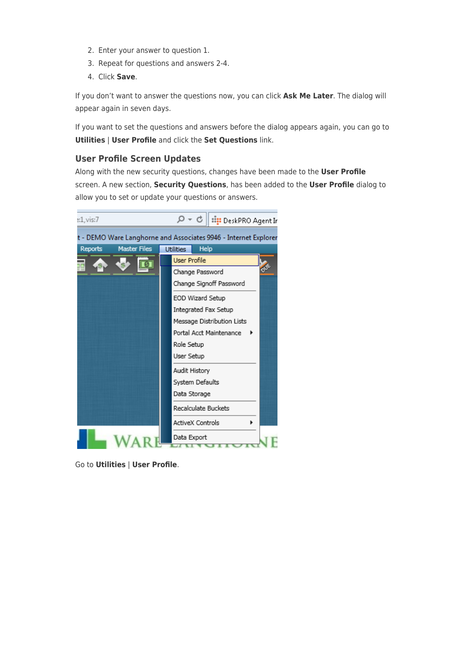- 2. Enter your answer to question 1.
- 3. Repeat for questions and answers 2-4.
- 4. Click **Save**.

If you don't want to answer the questions now, you can click **Ask Me Later**. The dialog will appear again in seven days.

If you want to set the questions and answers before the dialog appears again, you can go to **Utilities** | **User Profile** and click the **Set Questions** link.

### **User Profile Screen Updates**

Along with the new security questions, changes have been made to the **User Profile** screen. A new section, **Security Questions**, has been added to the **User Profile** dialog to allow you to set or update your questions or answers.

| s:1,vis:7                                                       | $\mathcal{Q} \sim \mathcal{C} \parallel \mathbb{H}$ : DeskPRO Agent Ir |  |  |  |  |
|-----------------------------------------------------------------|------------------------------------------------------------------------|--|--|--|--|
| t - DEMO Ware Langhorne and Associates 9946 - Internet Explorer |                                                                        |  |  |  |  |
| <b>Master Files</b><br>Reports                                  | <b>Utilities</b><br>Help                                               |  |  |  |  |
|                                                                 | User Profile                                                           |  |  |  |  |
|                                                                 | Change Password                                                        |  |  |  |  |
|                                                                 | Change Signoff Password                                                |  |  |  |  |
|                                                                 | EOD Wizard Setup                                                       |  |  |  |  |
|                                                                 | Integrated Fax Setup                                                   |  |  |  |  |
|                                                                 | Message Distribution Lists                                             |  |  |  |  |
|                                                                 | Portal Acct Maintenance                                                |  |  |  |  |
|                                                                 | Role Setup                                                             |  |  |  |  |
|                                                                 | User Setup                                                             |  |  |  |  |
|                                                                 | Audit History                                                          |  |  |  |  |
|                                                                 | System Defaults                                                        |  |  |  |  |
|                                                                 | Data Storage                                                           |  |  |  |  |
|                                                                 | Recalculate Buckets                                                    |  |  |  |  |
|                                                                 | <b>ActiveX Controls</b>                                                |  |  |  |  |
|                                                                 | Data Export                                                            |  |  |  |  |

Go to **Utilities** | **User Profile**.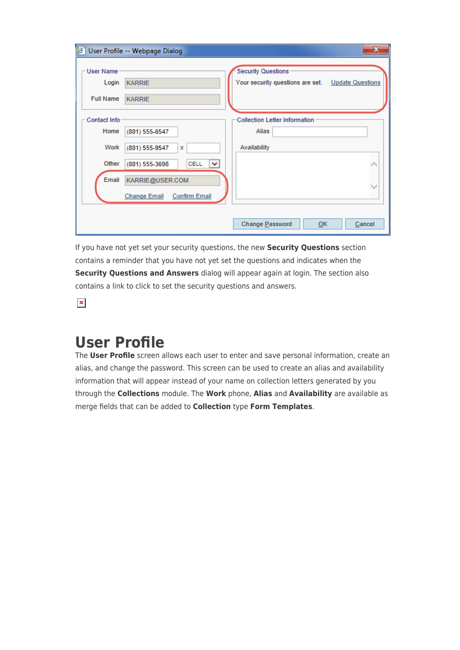| ē.                        | User Profile -- Webpage Dialog              | $\mathbf{x}$                                                                   |
|---------------------------|---------------------------------------------|--------------------------------------------------------------------------------|
| <b>User Name</b><br>Login | <b>KARRIE</b>                               | <b>Security Questions</b><br>Your security questions are set. Update Questions |
| <b>Full Name</b>          | <b>KARRIE</b>                               |                                                                                |
| Contact Info              |                                             | <b>Collection Letter Information</b>                                           |
| Home                      | (801) 555-6547                              | Alias                                                                          |
| Work                      | (801) 555-9547<br>x                         | Availability                                                                   |
| Other                     | CELL<br>(801) 555-3698<br>$\checkmark$      |                                                                                |
| <b>Email</b>              | KARRIE@USER.COM                             | $\checkmark$                                                                   |
|                           | <b>Confirm Email</b><br><b>Change Email</b> |                                                                                |
|                           |                                             |                                                                                |
|                           |                                             | Change Password<br>0K<br>Cancel                                                |

If you have not yet set your security questions, the new **Security Questions** section contains a reminder that you have not yet set the questions and indicates when the **Security Questions and Answers** dialog will appear again at login. The section also contains a link to click to set the security questions and answers.

 $\pmb{\times}$ 

# **User Profile**

The **User Profile** screen allows each user to enter and save personal information, create an alias, and change the password. This screen can be used to create an alias and availability information that will appear instead of your name on collection letters generated by you through the **Collections** module. The **Work** phone, **Alias** and **Availability** are available as merge fields that can be added to **Collection** type **Form Templates**.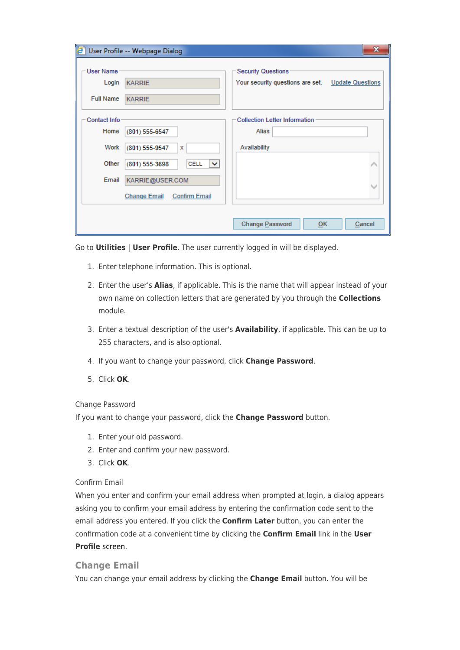| e.                        | User Profile -- Webpage Dialog                | $\mathbf{x}$                                                                   |
|---------------------------|-----------------------------------------------|--------------------------------------------------------------------------------|
| <b>User Name</b><br>Login | <b>KARRIE</b>                                 | <b>Security Questions</b><br>Your security questions are set. Update Questions |
| <b>Full Name</b>          | <b>KARRIE</b>                                 |                                                                                |
| Contact Info              |                                               | <b>Collection Letter Information</b>                                           |
| Home                      | (801) 555-6547                                | Alias                                                                          |
| Work                      | (801) 555-9547<br>x                           | Availability                                                                   |
| Other                     | <b>CELL</b><br>(801) 555-3698<br>$\checkmark$ |                                                                                |
| Email                     | KARRIE@USER.COM                               |                                                                                |
|                           | <b>Change Email</b><br><b>Confirm Email</b>   |                                                                                |
|                           |                                               |                                                                                |
|                           |                                               | Change Password<br>0K<br>Cancel                                                |

Go to **Utilities** | **User Profile**. The user currently logged in will be displayed.

- 1. Enter telephone information. This is optional.
- 2. Enter the user's **Alias**, if applicable. This is the name that will appear instead of your own name on collection letters that are generated by you through the **Collections** module.
- 3. Enter a textual description of the user's **Availability**, if applicable. This can be up to 255 characters, and is also optional.
- 4. If you want to change your password, click **Change Password**.
- 5. Click **OK**.

### Change Password

If you want to change your password, click the **Change Password** button.

- 1. Enter your old password.
- 2. Enter and confirm your new password.
- 3. Click **OK**.

#### Confirm Email

When you enter and confirm your email address when prompted at login, a dialog appears asking you to confirm your email address by entering the confirmation code sent to the email address you entered. If you click the **Confirm Later** button, you can enter the confirmation code at a convenient time by clicking the **Confirm Email** link in the **User Profile** screen.

### **Change Email**

You can change your email address by clicking the **Change Email** button. You will be